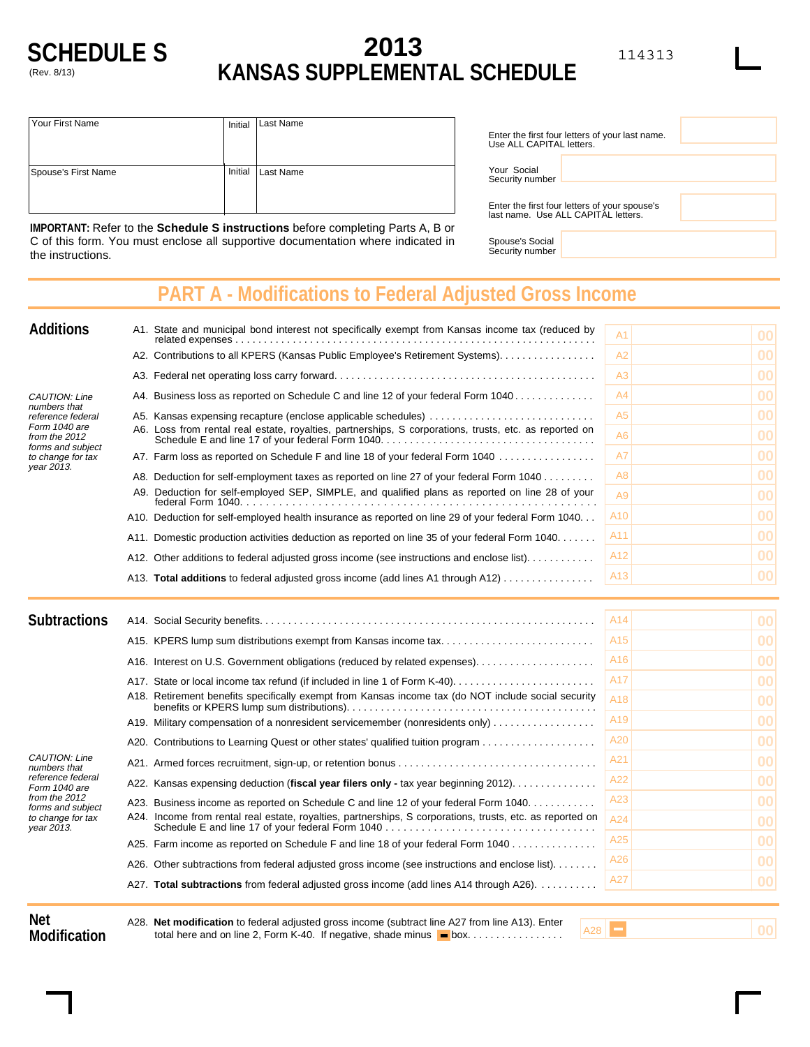

## **2013 KANSAS SUPPLEMENTAL SCHEDULE**

| Your First Name     | Initial | <b>Last Name</b> |
|---------------------|---------|------------------|
| Spouse's First Name | Initial | <b>Last Name</b> |

| Use ALL CAPITAL letters.       | Enter the first four letters of your last name.                                      |  |
|--------------------------------|--------------------------------------------------------------------------------------|--|
| Your Social<br>Security number |                                                                                      |  |
|                                | Enter the first four letters of your spouse's<br>last name. Use ALL CAPITAL letters. |  |

Spouse's Social Security number

**IMPORTANT:** Refer to the **Schedule S instructions** before completing Parts A, B or C of this form. You must enclose all supportive documentation where indicated in the instructions.

## **PART A - Modifications to Federal Adjusted Gross Income**

| <b>Additions</b>                                                                       | A1. State and municipal bond interest not specifically exempt from Kansas income tax (reduced by       | A1              | 00 |
|----------------------------------------------------------------------------------------|--------------------------------------------------------------------------------------------------------|-----------------|----|
|                                                                                        | A2. Contributions to all KPERS (Kansas Public Employee's Retirement Systems).                          | A2              | 00 |
|                                                                                        |                                                                                                        | A3              | 00 |
| <b>CAUTION: Line</b>                                                                   | A4. Business loss as reported on Schedule C and line 12 of your federal Form 1040                      | A4              | 00 |
| numbers that<br>reference federal                                                      | A5. Kansas expensing recapture (enclose applicable schedules)                                          | A <sub>5</sub>  | 00 |
| Form 1040 are<br>from the 2012<br>forms and subject<br>to change for tax<br>year 2013. | A6. Loss from rental real estate, royalties, partnerships, S corporations, trusts, etc. as reported on | A6              | 00 |
|                                                                                        | A7. Farm loss as reported on Schedule F and line 18 of your federal Form 1040                          | A7              | 00 |
|                                                                                        | A8. Deduction for self-employment taxes as reported on line 27 of your federal Form 1040               | A8              | 00 |
|                                                                                        | A9. Deduction for self-employed SEP, SIMPLE, and qualified plans as reported on line 28 of your        | A9              | 00 |
|                                                                                        | A10. Deduction for self-employed health insurance as reported on line 29 of your federal Form 1040     | A <sub>10</sub> | 00 |
|                                                                                        | A11. Domestic production activities deduction as reported on line 35 of your federal Form 1040.        | A11             | 00 |
|                                                                                        | A12. Other additions to federal adjusted gross income (see instructions and enclose list)              | A <sub>12</sub> | 00 |
|                                                                                        | A13. <b>Total additions</b> to federal adjusted gross income (add lines A1 through A12)                | A <sub>13</sub> | 00 |

| <b>Subtractions</b>                                                                                                                                 |                                                                                                             | A <sub>14</sub> | 00 |
|-----------------------------------------------------------------------------------------------------------------------------------------------------|-------------------------------------------------------------------------------------------------------------|-----------------|----|
|                                                                                                                                                     |                                                                                                             | A <sub>15</sub> | 00 |
|                                                                                                                                                     | A16. Interest on U.S. Government obligations (reduced by related expenses).                                 | A16             | 00 |
|                                                                                                                                                     |                                                                                                             | A17             | 00 |
|                                                                                                                                                     | A18. Retirement benefits specifically exempt from Kansas income tax (do NOT include social security         | A18             | 00 |
|                                                                                                                                                     | A19. Military compensation of a nonresident servicemember (nonresidents only)                               | A <sub>19</sub> | 00 |
|                                                                                                                                                     | A20. Contributions to Learning Quest or other states' qualified tuition program                             | A20             | 00 |
| <b>CAUTION: Line</b><br>numbers that<br>reference federal<br>Form 1040 are<br>from the 2012<br>forms and subject<br>to change for tax<br>year 2013. |                                                                                                             | A21             | 00 |
|                                                                                                                                                     | A22. Kansas expensing deduction (fiscal year filers only - tax year beginning 2012). $\ldots \ldots \ldots$ | A22             | 00 |
|                                                                                                                                                     | A23. Business income as reported on Schedule C and line 12 of your federal Form 1040                        | A23             | 00 |
|                                                                                                                                                     | A24. Income from rental real estate, royalties, partnerships, S corporations, trusts, etc. as reported on   | A24             | 00 |
|                                                                                                                                                     | A25. Farm income as reported on Schedule F and line 18 of your federal Form 1040                            | A25             | 00 |
|                                                                                                                                                     | A26. Other subtractions from federal adjusted gross income (see instructions and enclose list).             | A26             | 00 |
|                                                                                                                                                     | A27. Total subtractions from federal adjusted gross income (add lines A14 through A26).                     | A27             | 00 |
|                                                                                                                                                     |                                                                                                             |                 |    |

**Net Modification**

A28. **Net modification** to federal adjusted gross income (subtract line A27 from line A13). Enter total here and on line 2, Form K-40. If negative, shade minus box.................

 $A28$   $\Box$